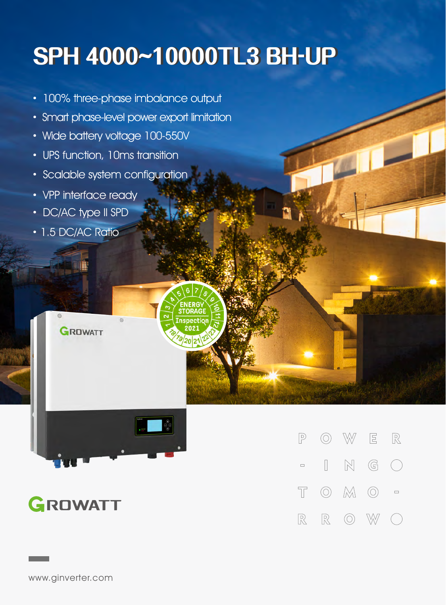## **SPH4000~10000TL3BH-UP**

- · 100% three-phase imbalance output
- Smart phase-level power export limitation
- · Wide battery voltage 100-550V
- · UPS function, 10ms transition
- · Scalable system configuration
- · VPP interface ready
- · DC/AC type II SPD

**GROWATT** 

• 1.5 DC/AC Ratio



## GROWATT